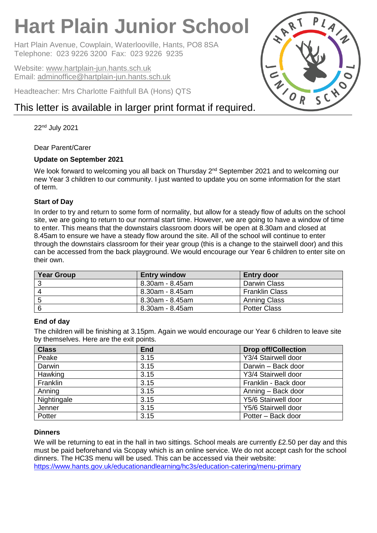# **Hart Plain Junior School**

Hart Plain Avenue, Cowplain, Waterlooville, Hants, PO8 8SA Telephone: 023 9226 3200 Fax: 023 9226 9235

Website: [www.hartplain-jun.hants.sch.uk](http://www.hartplain-jun.hants.sch.uk/) Email: [adminoffice@hartplain-jun.hants.sch.uk](mailto:adminoffice@hartplain-jun.hants.sch.uk)

Headteacher: Mrs Charlotte Faithfull BA (Hons) QTS

# This letter is available in larger print format if required.

22nd July 2021

# Dear Parent/Carer

# **Update on September 2021**

We look forward to welcoming you all back on Thursday 2<sup>nd</sup> September 2021 and to welcoming our new Year 3 children to our community. I just wanted to update you on some information for the start of term.

# **Start of Day**

In order to try and return to some form of normality, but allow for a steady flow of adults on the school site, we are going to return to our normal start time. However, we are going to have a window of time to enter. This means that the downstairs classroom doors will be open at 8.30am and closed at 8.45am to ensure we have a steady flow around the site. All of the school will continue to enter through the downstairs classroom for their year group (this is a change to the stairwell door) and this can be accessed from the back playground. We would encourage our Year 6 children to enter site on their own.

| <b>Year Group</b> | <b>Entry window</b> | <b>Entry door</b>     |
|-------------------|---------------------|-----------------------|
|                   | 8.30am - 8.45am     | Darwin Class          |
|                   | 8.30am - 8.45am     | <b>Franklin Class</b> |
|                   | 8.30am - 8.45am     | <b>Anning Class</b>   |
|                   | 8.30am - 8.45am     | <b>Potter Class</b>   |

### **End of day**

The children will be finishing at 3.15pm. Again we would encourage our Year 6 children to leave site by themselves. Here are the exit points.

| <b>Class</b> | <b>End</b> | <b>Drop off/Collection</b> |
|--------------|------------|----------------------------|
| Peake        | 3.15       | Y3/4 Stairwell door        |
| Darwin       | 3.15       | Darwin - Back door         |
| Hawking      | 3.15       | Y3/4 Stairwell door        |
| Franklin     | 3.15       | Franklin - Back door       |
| Anning       | 3.15       | Anning - Back door         |
| Nightingale  | 3.15       | Y5/6 Stairwell door        |
| Jenner       | 3.15       | Y5/6 Stairwell door        |
| Potter       | 3.15       | Potter - Back door         |

# **Dinners**

We will be returning to eat in the hall in two sittings. School meals are currently £2.50 per day and this must be paid beforehand via Scopay which is an online service. We do not accept cash for the school dinners. The HC3S menu will be used. This can be accessed via their website: <https://www.hants.gov.uk/educationandlearning/hc3s/education-catering/menu-primary>